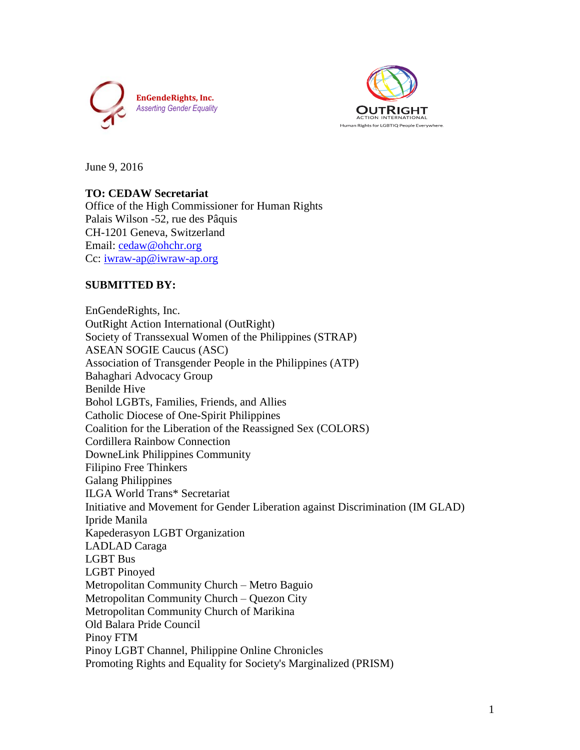



June 9, 2016

# **TO: CEDAW Secretariat**

Office of the High Commissioner for Human Rights Palais Wilson -52, rue des Pâquis CH-1201 Geneva, Switzerland Email: [cedaw@ohchr.org](mailto:cedaw@ohchr.org) Cc: [iwraw-ap@iwraw-ap.org](mailto:iwraw-ap@iwraw-ap.org)

# **SUBMITTED BY:**

EnGendeRights, Inc. OutRight Action International (OutRight) Society of Transsexual Women of the Philippines (STRAP) ASEAN SOGIE Caucus (ASC) Association of Transgender People in the Philippines (ATP) Bahaghari Advocacy Group Benilde Hive Bohol LGBTs, Families, Friends, and Allies Catholic Diocese of One-Spirit Philippines Coalition for the Liberation of the Reassigned Sex (COLORS) Cordillera Rainbow Connection DowneLink Philippines Community Filipino Free Thinkers Galang Philippines ILGA World Trans\* Secretariat Initiative and Movement for Gender Liberation against Discrimination (IM GLAD) Ipride Manila Kapederasyon LGBT Organization LADLAD Caraga LGBT Bus LGBT Pinoyed Metropolitan Community Church – Metro Baguio Metropolitan Community Church – Quezon City Metropolitan Community Church of Marikina Old Balara Pride Council Pinoy FTM Pinoy LGBT Channel, Philippine Online Chronicles Promoting Rights and Equality for Society's Marginalized (PRISM)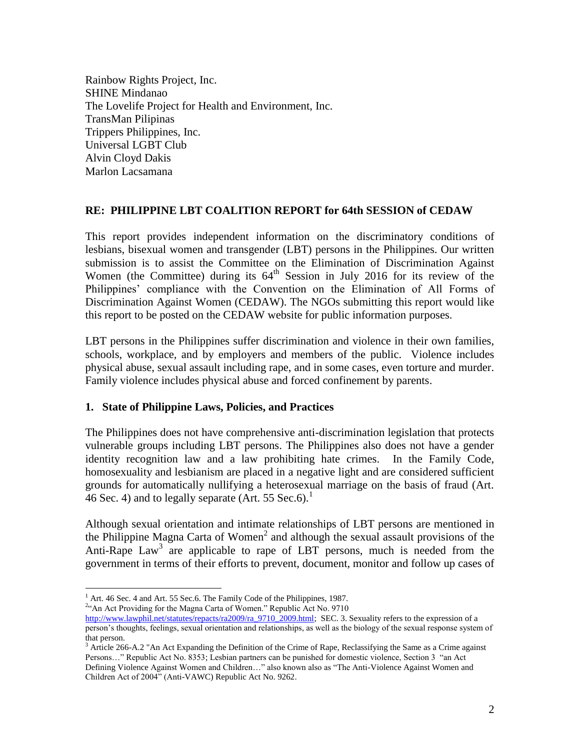Rainbow Rights Project, Inc. SHINE Mindanao The Lovelife Project for Health and Environment, Inc. TransMan Pilipinas Trippers Philippines, Inc. Universal LGBT Club Alvin Cloyd Dakis Marlon Lacsamana

## **RE: PHILIPPINE LBT COALITION REPORT for 64th SESSION of CEDAW**

This report provides independent information on the discriminatory conditions of lesbians, bisexual women and transgender (LBT) persons in the Philippines. Our written submission is to assist the Committee on the Elimination of Discrimination Against Women (the Committee) during its  $64<sup>th</sup>$  Session in July 2016 for its review of the Philippines' compliance with the Convention on the Elimination of All Forms of Discrimination Against Women (CEDAW). The NGOs submitting this report would like this report to be posted on the CEDAW website for public information purposes.

LBT persons in the Philippines suffer discrimination and violence in their own families, schools, workplace, and by employers and members of the public. Violence includes physical abuse, sexual assault including rape, and in some cases, even torture and murder. Family violence includes physical abuse and forced confinement by parents.

#### **1. State of Philippine Laws, Policies, and Practices**

The Philippines does not have comprehensive anti-discrimination legislation that protects vulnerable groups including LBT persons. The Philippines also does not have a gender identity recognition law and a law prohibiting hate crimes. In the Family Code, homosexuality and lesbianism are placed in a negative light and are considered sufficient grounds for automatically nullifying a heterosexual marriage on the basis of fraud (Art. 46 Sec. 4) and to legally separate (Art. 55 Sec.6).<sup>1</sup>

Although sexual orientation and intimate relationships of LBT persons are mentioned in the Philippine Magna Carta of Women<sup>2</sup> and although the sexual assault provisions of the Anti-Rape  $Law<sup>3</sup>$  are applicable to rape of LBT persons, much is needed from the government in terms of their efforts to prevent, document, monitor and follow up cases of

 $\overline{a}$ 

<sup>2</sup>"An Act Providing for the Magna Carta of Women." Republic Act No. 9710

 $<sup>1</sup>$  Art. 46 Sec. 4 and Art. 55 Sec. 6. The Family Code of the Philippines, 1987.</sup>

[http://www.lawphil.net/statutes/repacts/ra2009/ra\\_9710\\_2009.html;](http://www.lawphil.net/statutes/repacts/ra2009/ra_9710_2009.html) SEC. 3. Sexuality refers to the expression of a person's thoughts, feelings, sexual orientation and relationships, as well as the biology of the sexual response system of that person.

 $3$  Article 266-A.2 "An Act Expanding the Definition of the Crime of Rape, Reclassifying the Same as a Crime against Persons…" Republic Act No. 8353; Lesbian partners can be punished for domestic violence, Section 3 "an Act Defining Violence Against Women and Children…" also known also as "The Anti-Violence Against Women and Children Act of 2004" (Anti-VAWC) Republic Act No. 9262.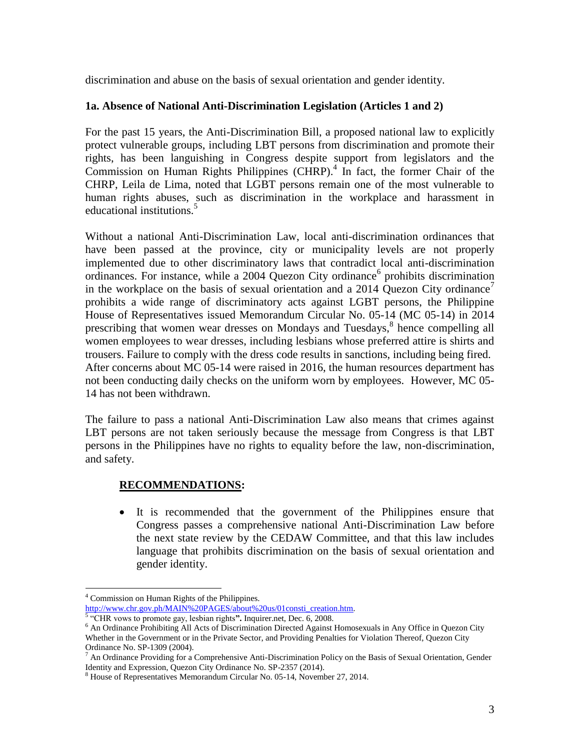discrimination and abuse on the basis of sexual orientation and gender identity.

# **1a. Absence of National Anti-Discrimination Legislation (Articles 1 and 2)**

For the past 15 years, the Anti-Discrimination Bill, a proposed national law to explicitly protect vulnerable groups, including LBT persons from discrimination and promote their rights, has been languishing in Congress despite support from legislators and the Commission on Human Rights Philippines (CHRP).<sup>4</sup> In fact, the former Chair of the CHRP, Leila de Lima, noted that LGBT persons remain one of the most vulnerable to human rights abuses, such as discrimination in the workplace and harassment in educational institutions.<sup>5</sup>

Without a national Anti-Discrimination Law, local anti-discrimination ordinances that have been passed at the province, city or municipality levels are not properly implemented due to other discriminatory laws that contradict local anti-discrimination ordinances. For instance, while a 2004 Quezon City ordinance<sup>6</sup> prohibits discrimination in the workplace on the basis of sexual orientation and a 2014 Quezon City ordinance<sup>7</sup> prohibits a wide range of discriminatory acts against LGBT persons, the Philippine House of Representatives issued Memorandum Circular No. 05-14 (MC 05-14) in 2014 prescribing that women wear dresses on Mondays and Tuesdays, 8 hence compelling all women employees to wear dresses, including lesbians whose preferred attire is shirts and trousers. Failure to comply with the dress code results in sanctions, including being fired. After concerns about MC 05-14 were raised in 2016, the human resources department has not been conducting daily checks on the uniform worn by employees. However, MC 05- 14 has not been withdrawn.

The failure to pass a national Anti-Discrimination Law also means that crimes against LBT persons are not taken seriously because the message from Congress is that LBT persons in the Philippines have no rights to equality before the law, non-discrimination, and safety.

# **RECOMMENDATIONS:**

 It is recommended that the government of the Philippines ensure that Congress passes a comprehensive national Anti-Discrimination Law before the next state review by the CEDAW Committee, and that this law includes language that prohibits discrimination on the basis of sexual orientation and gender identity.

[http://www.chr.gov.ph/MAIN%20PAGES/about%20us/01consti\\_creation.htm.](http://www.chr.gov.ph/MAIN%20PAGES/about%20us/01consti_creation.htm) 5 "CHR vows to promote gay, lesbian rights**".** Inquirer.net, Dec. 6, 2008.

 $\overline{a}$ <sup>4</sup> Commission on Human Rights of the Philippines.

<sup>&</sup>lt;sup>6</sup> An Ordinance Prohibiting All Acts of Discrimination Directed Against Homosexuals in Any Office in Quezon City Whether in the Government or in the Private Sector, and Providing Penalties for Violation Thereof, Quezon City

Ordinance No. SP-1309 (2004).

 $^7$  An Ordinance Providing for a Comprehensive Anti-Discrimination Policy on the Basis of Sexual Orientation, Gender Identity and Expression, Quezon City Ordinance No. SP-2357 (2014).

<sup>8</sup> House of Representatives Memorandum Circular No. 05-14, November 27, 2014.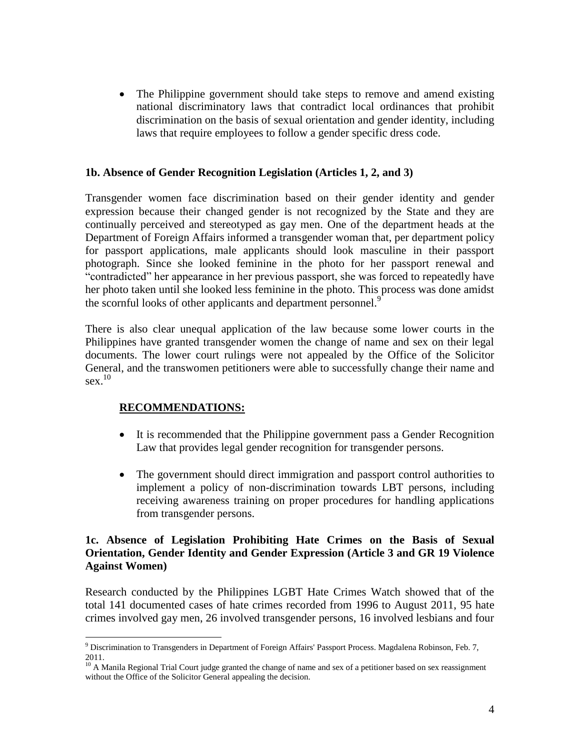• The Philippine government should take steps to remove and amend existing national discriminatory laws that contradict local ordinances that prohibit discrimination on the basis of sexual orientation and gender identity, including laws that require employees to follow a gender specific dress code.

#### **1b. Absence of Gender Recognition Legislation (Articles 1, 2, and 3)**

Transgender women face discrimination based on their gender identity and gender expression because their changed gender is not recognized by the State and they are continually perceived and stereotyped as gay men. One of the department heads at the Department of Foreign Affairs informed a transgender woman that, per department policy for passport applications, male applicants should look masculine in their passport photograph. Since she looked feminine in the photo for her passport renewal and "contradicted" her appearance in her previous passport, she was forced to repeatedly have her photo taken until she looked less feminine in the photo. This process was done amidst the scornful looks of other applicants and department personnel.<sup>9</sup>

There is also clear unequal application of the law because some lower courts in the Philippines have granted transgender women the change of name and sex on their legal documents. The lower court rulings were not appealed by the Office of the Solicitor General, and the transwomen petitioners were able to successfully change their name and  $sex.$ <sup>10</sup>

# **RECOMMENDATIONS:**

 $\overline{a}$ 

- It is recommended that the Philippine government pass a Gender Recognition Law that provides legal gender recognition for transgender persons.
- The government should direct immigration and passport control authorities to implement a policy of non-discrimination towards LBT persons, including receiving awareness training on proper procedures for handling applications from transgender persons.

## **1c. Absence of Legislation Prohibiting Hate Crimes on the Basis of Sexual Orientation, Gender Identity and Gender Expression (Article 3 and GR 19 Violence Against Women)**

Research conducted by the Philippines LGBT Hate Crimes Watch showed that of the total 141 documented cases of hate crimes recorded from 1996 to August 2011, 95 hate crimes involved gay men, 26 involved transgender persons, 16 involved lesbians and four

<sup>&</sup>lt;sup>9</sup> Discrimination to Transgenders in Department of Foreign Affairs' Passport Process. Magdalena Robinson, Feb. 7, 2011.

<sup>&</sup>lt;sup>10</sup> A Manila Regional Trial Court judge granted the change of name and sex of a petitioner based on sex reassignment without the Office of the Solicitor General appealing the decision.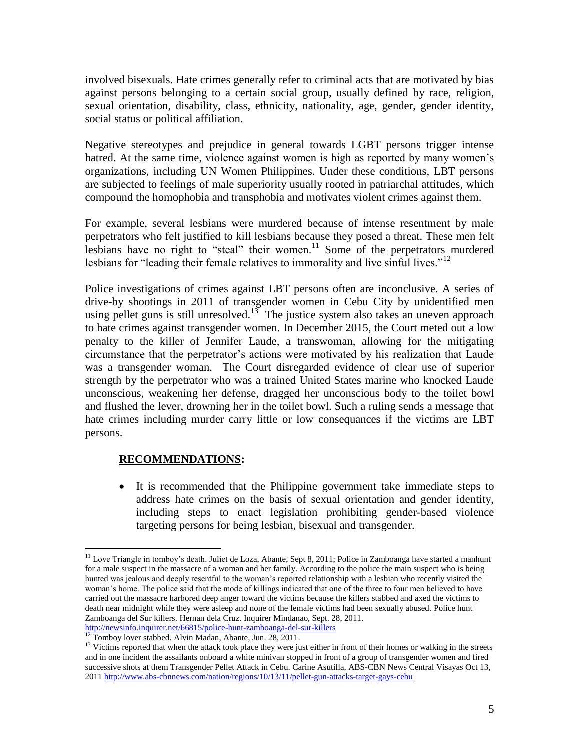involved bisexuals. Hate crimes generally refer to criminal acts that are motivated by bias against persons belonging to a certain social group, usually defined by race, religion, sexual orientation, disability, class, ethnicity, nationality, age, gender, gender identity, social status or political affiliation.

Negative stereotypes and prejudice in general towards LGBT persons trigger intense hatred. At the same time, violence against women is high as reported by many women's organizations, including UN Women Philippines. Under these conditions, LBT persons are subjected to feelings of male superiority usually rooted in patriarchal attitudes, which compound the homophobia and transphobia and motivates violent crimes against them.

For example, several lesbians were murdered because of intense resentment by male perpetrators who felt justified to kill lesbians because they posed a threat. These men felt lesbians have no right to "steal" their women.<sup>11</sup> Some of the perpetrators murdered lesbians for "leading their female relatives to immorality and live sinful lives."<sup>12</sup>

Police investigations of crimes against LBT persons often are inconclusive. A series of drive-by shootings in 2011 of transgender women in Cebu City by unidentified men using pellet guns is still unresolved.<sup>13</sup> The justice system also takes an uneven approach to hate crimes against transgender women. In December 2015, the Court meted out a low penalty to the killer of Jennifer Laude, a transwoman, allowing for the mitigating circumstance that the perpetrator's actions were motivated by his realization that Laude was a transgender woman. The Court disregarded evidence of clear use of superior strength by the perpetrator who was a trained United States marine who knocked Laude unconscious, weakening her defense, dragged her unconscious body to the toilet bowl and flushed the lever, drowning her in the toilet bowl. Such a ruling sends a message that hate crimes including murder carry little or low consequances if the victims are LBT persons.

# **RECOMMENDATIONS:**

 $\overline{a}$ 

 It is recommended that the Philippine government take immediate steps to address hate crimes on the basis of sexual orientation and gender identity, including steps to enact legislation prohibiting gender-based violence targeting persons for being lesbian, bisexual and transgender.

<http://newsinfo.inquirer.net/66815/police-hunt-zamboanga-del-sur-killers> <sup>12</sup> Tomboy lover stabbed. Alvin Madan, Abante, Jun. 28, 2011.

<sup>&</sup>lt;sup>11</sup> Love Triangle in tomboy's death. Juliet de Loza, Abante, Sept 8, 2011; Police in Zamboanga have started a manhunt for a male suspect in the massacre of a woman and her family. According to the police the main suspect who is being hunted was jealous and deeply resentful to the woman's reported relationship with a lesbian who recently visited the woman's home. The police said that the mode of killings indicated that one of the three to four men believed to have carried out the massacre harbored deep anger toward the victims because the killers stabbed and axed the victims to death near midnight while they were asleep and none of the female victims had been sexually abused. Police hunt Zamboanga del Sur killers. Hernan dela Cruz. Inquirer Mindanao, Sept. 28, 2011.

 $13$  Victims reported that when the attack took place they were just either in front of their homes or walking in the streets and in one incident the assailants onboard a white minivan stopped in front of a group of transgender women and fired successive shots at them Transgender Pellet Attack in Cebu. Carine Asutilla, ABS-CBN News Central Visayas Oct 13, 201[1 http://www.abs-cbnnews.com/nation/regions/10/13/11/pellet-gun-attacks-target-gays-cebu](http://www.abs-cbnnews.com/nation/regions/10/13/11/pellet-gun-attacks-target-gays-cebu)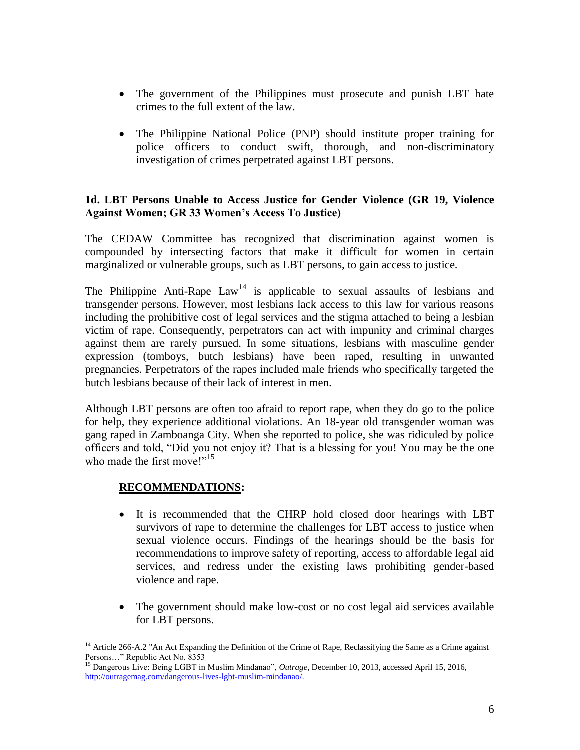- The government of the Philippines must prosecute and punish LBT hate crimes to the full extent of the law.
- The Philippine National Police (PNP) should institute proper training for police officers to conduct swift, thorough, and non-discriminatory investigation of crimes perpetrated against LBT persons.

## **1d. LBT Persons Unable to Access Justice for Gender Violence (GR 19, Violence Against Women; GR 33 Women's Access To Justice)**

The CEDAW Committee has recognized that discrimination against women is compounded by intersecting factors that make it difficult for women in certain marginalized or vulnerable groups, such as LBT persons, to gain access to justice.

The Philippine Anti-Rape  $Law<sup>14</sup>$  is applicable to sexual assaults of lesbians and transgender persons. However, most lesbians lack access to this law for various reasons including the prohibitive cost of legal services and the stigma attached to being a lesbian victim of rape. Consequently, perpetrators can act with impunity and criminal charges against them are rarely pursued. In some situations, lesbians with masculine gender expression (tomboys, butch lesbians) have been raped, resulting in unwanted pregnancies. Perpetrators of the rapes included male friends who specifically targeted the butch lesbians because of their lack of interest in men.

Although LBT persons are often too afraid to report rape, when they do go to the police for help, they experience additional violations. An 18-year old transgender woman was gang raped in Zamboanga City. When she reported to police, she was ridiculed by police officers and told, "Did you not enjoy it? That is a blessing for you! You may be the one who made the first move!"<sup>15</sup>

# **RECOMMENDATIONS:**

- It is recommended that the CHRP hold closed door hearings with LBT survivors of rape to determine the challenges for LBT access to justice when sexual violence occurs. Findings of the hearings should be the basis for recommendations to improve safety of reporting, access to affordable legal aid services, and redress under the existing laws prohibiting gender-based violence and rape.
- The government should make low-cost or no cost legal aid services available for LBT persons.

<sup>&</sup>lt;sup>14</sup> Article 266-A.2 "An Act Expanding the Definition of the Crime of Rape, Reclassifying the Same as a Crime against Persons…" Republic Act No. 8353

<sup>15</sup> Dangerous Live: Being LGBT in Muslim Mindanao", *Outrage*, December 10, 2013, accessed April 15, 2016, [http://outragemag.com/dangerous-lives-lgbt-muslim-mindanao/.](http://outragemag.com/dangerous-lives-lgbt-muslim-mindanao/)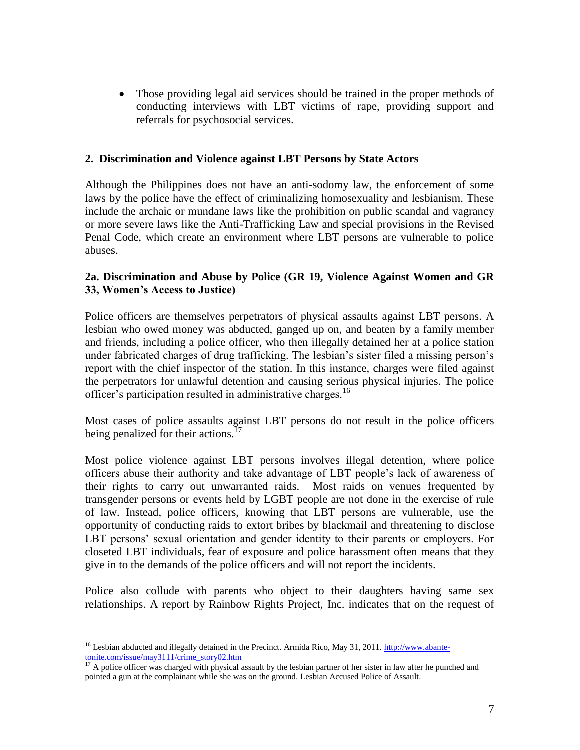• Those providing legal aid services should be trained in the proper methods of conducting interviews with LBT victims of rape, providing support and referrals for psychosocial services.

## **2. Discrimination and Violence against LBT Persons by State Actors**

Although the Philippines does not have an anti-sodomy law, the enforcement of some laws by the police have the effect of criminalizing homosexuality and lesbianism. These include the archaic or mundane laws like the prohibition on public scandal and vagrancy or more severe laws like the Anti-Trafficking Law and special provisions in the Revised Penal Code, which create an environment where LBT persons are vulnerable to police abuses.

## **2a. Discrimination and Abuse by Police (GR 19, Violence Against Women and GR 33, Women's Access to Justice)**

Police officers are themselves perpetrators of physical assaults against LBT persons. A lesbian who owed money was abducted, ganged up on, and beaten by a family member and friends, including a police officer, who then illegally detained her at a police station under fabricated charges of drug trafficking. The lesbian's sister filed a missing person's report with the chief inspector of the station. In this instance, charges were filed against the perpetrators for unlawful detention and causing serious physical injuries. The police officer's participation resulted in administrative charges.<sup>16</sup>

Most cases of police assaults against LBT persons do not result in the police officers being penalized for their actions.<sup>17</sup>

Most police violence against LBT persons involves illegal detention, where police officers abuse their authority and take advantage of LBT people's lack of awareness of their rights to carry out unwarranted raids. Most raids on venues frequented by transgender persons or events held by LGBT people are not done in the exercise of rule of law. Instead, police officers, knowing that LBT persons are vulnerable, use the opportunity of conducting raids to extort bribes by blackmail and threatening to disclose LBT persons' sexual orientation and gender identity to their parents or employers. For closeted LBT individuals, fear of exposure and police harassment often means that they give in to the demands of the police officers and will not report the incidents.

Police also collude with parents who object to their daughters having same sex relationships. A report by Rainbow Rights Project, Inc. indicates that on the request of

<sup>&</sup>lt;sup>16</sup> Lesbian abducted and illegally detained in the Precinct. Armida Rico, May 31, 2011. [http://www.abante](http://www.abante-tonite.com/issue/may3111/crime_story02.htm)[tonite.com/issue/may3111/crime\\_story02.htm](http://www.abante-tonite.com/issue/may3111/crime_story02.htm)

 $17$  A police officer was charged with physical assault by the lesbian partner of her sister in law after he punched and pointed a gun at the complainant while she was on the ground. Lesbian Accused Police of Assault.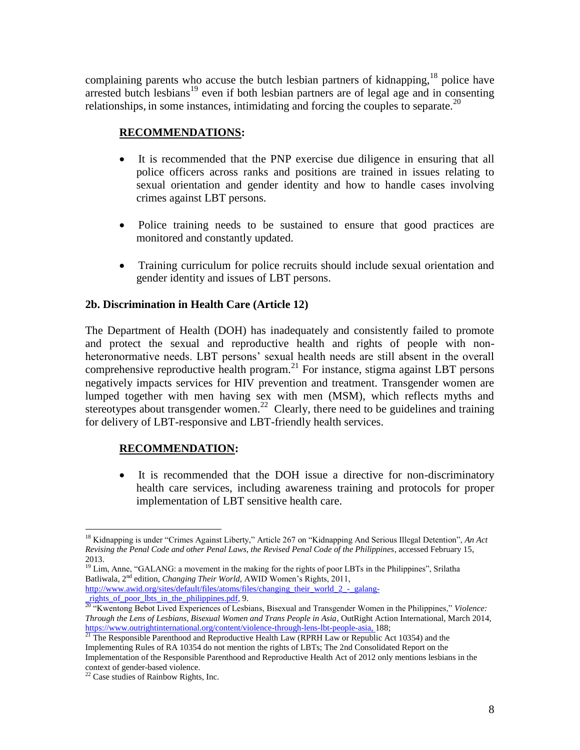complaining parents who accuse the butch lesbian partners of kidnapping,<sup>18</sup> police have arrested butch lesbians<sup>19</sup> even if both lesbian partners are of legal age and in consenting relationships, in some instances, intimidating and forcing the couples to separate.<sup>20</sup>

# **RECOMMENDATIONS:**

- It is recommended that the PNP exercise due diligence in ensuring that all police officers across ranks and positions are trained in issues relating to sexual orientation and gender identity and how to handle cases involving crimes against LBT persons.
- Police training needs to be sustained to ensure that good practices are monitored and constantly updated.
- Training curriculum for police recruits should include sexual orientation and gender identity and issues of LBT persons.

# **2b. Discrimination in Health Care (Article 12)**

The Department of Health (DOH) has inadequately and consistently failed to promote and protect the sexual and reproductive health and rights of people with nonheteronormative needs. LBT persons' sexual health needs are still absent in the overall comprehensive reproductive health program.<sup>21</sup> For instance, stigma against LBT persons negatively impacts services for HIV prevention and treatment. Transgender women are lumped together with men having sex with men (MSM), which reflects myths and stereotypes about transgender women.<sup>22</sup> Clearly, there need to be guidelines and training for delivery of LBT-responsive and LBT-friendly health services.

# **RECOMMENDATION:**

 It is recommended that the DOH issue a directive for non-discriminatory health care services, including awareness training and protocols for proper implementation of LBT sensitive health care.

<sup>19</sup> Lim, Anne, "GALANG: a movement in the making for the rights of poor LBTs in the Philippines", Srilatha Batliwala, 2nd edition, *Changing Their World,* AWID Women's Rights, 2011, [http://www.awid.org/sites/default/files/atoms/files/changing\\_their\\_world\\_2\\_-\\_galang-](http://www.awid.org/sites/default/files/atoms/files/changing_their_world_2_-_galang-_rights_of_poor_lbts_in_the_philippines.pdf)

rights of poor lbts in the philippines.pdf, 9.

<sup>21</sup> The Responsible Parenthood and Reproductive Health Law (RPRH Law or Republic Act 10354) and the Implementing Rules of RA 10354 do not mention the rights of LBTs; The 2nd Consolidated Report on the Implementation of the Responsible Parenthood and Reproductive Health Act of 2012 only mentions lesbians in the context of gender-based violence.

<sup>18</sup> Kidnapping is under "Crimes Against Liberty," Article 267 on "Kidnapping And Serious Illegal Detention", *An Act Revising the Penal Code and other Penal Laws, the Revised Penal Code of the Philippines*, accessed February 15, 2013.

<sup>20</sup> "Kwentong Bebot Lived Experiences of Lesbians, Bisexual and Transgender Women in the Philippines," *Violence: Through the Lens of Lesbians, Bisexual Women and Trans People in Asia*, OutRight Action International, March 2014, [https://www.outrightinternational.org/content/violence-through-lens-lbt-people-asia,](https://www.outrightinternational.org/content/violence-through-lens-lbt-people-asia) 188;

<sup>&</sup>lt;sup>22</sup> Case studies of Rainbow Rights, Inc.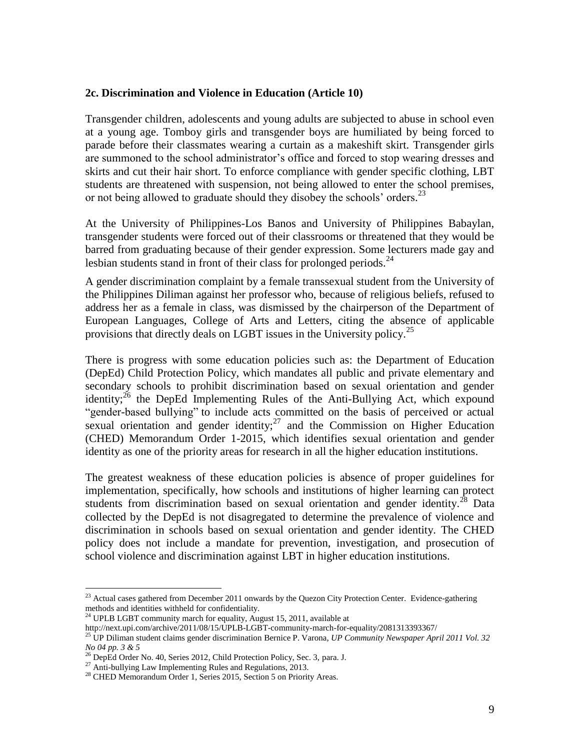#### **2c. Discrimination and Violence in Education (Article 10)**

Transgender children, adolescents and young adults are subjected to abuse in school even at a young age. Tomboy girls and transgender boys are humiliated by being forced to parade before their classmates wearing a curtain as a makeshift skirt. Transgender girls are summoned to the school administrator's office and forced to stop wearing dresses and skirts and cut their hair short. To enforce compliance with gender specific clothing, LBT students are threatened with suspension, not being allowed to enter the school premises, or not being allowed to graduate should they disobey the schools' orders.<sup>23</sup>

At the University of Philippines-Los Banos and University of Philippines Babaylan, transgender students were forced out of their classrooms or threatened that they would be barred from graduating because of their gender expression. Some lecturers made gay and lesbian students stand in front of their class for prolonged periods. $^{24}$ 

A gender discrimination complaint by a female transsexual student from the University of the Philippines Diliman against her professor who, because of religious beliefs, refused to address her as a female in class, was dismissed by the chairperson of the Department of European Languages, College of Arts and Letters, citing the absence of applicable provisions that directly deals on LGBT issues in the University policy.<sup>25</sup>

There is progress with some education policies such as: the Department of Education (DepEd) Child Protection Policy, which mandates all public and private elementary and secondary schools to prohibit discrimination based on sexual orientation and gender identity;  $^{26}$  the DepEd Implementing Rules of the Anti-Bullying Act, which expound "gender-based bullying" to include acts committed on the basis of perceived or actual sexual orientation and gender identity; $^{27}$  and the Commission on Higher Education (CHED) Memorandum Order 1-2015, which identifies sexual orientation and gender identity as one of the priority areas for research in all the higher education institutions.

The greatest weakness of these education policies is absence of proper guidelines for implementation, specifically, how schools and institutions of higher learning can protect students from discrimination based on sexual orientation and gender identity.<sup>28</sup> Data collected by the DepEd is not disagregated to determine the prevalence of violence and discrimination in schools based on sexual orientation and gender identity. The CHED policy does not include a mandate for prevention, investigation, and prosecution of school violence and discrimination against LBT in higher education institutions.

<sup>&</sup>lt;sup>23</sup> Actual cases gathered from December 2011 onwards by the Quezon City Protection Center. Evidence-gathering methods and identities withheld for confidentiality.

 $^{24}$  UPLB LGBT community march for equality, August 15, 2011, available at

http://next.upi.com/archive/2011/08/15/UPLB-LGBT-community-march-for-equality/2081313393367/

<sup>25</sup> UP Diliman student claims gender discrimination Bernice P. Varona, *UP Community Newspaper April 2011 Vol. 32 No 04 pp. 3 & 5*

<sup>&</sup>lt;sup>26</sup> DepEd Order No. 40, Series 2012, Child Protection Policy, Sec. 3, para. J.

 $^{27}$  Anti-bullying Law Implementing Rules and Regulations, 2013.

<sup>&</sup>lt;sup>28</sup> CHED Memorandum Order 1, Series 2015, Section 5 on Priority Areas.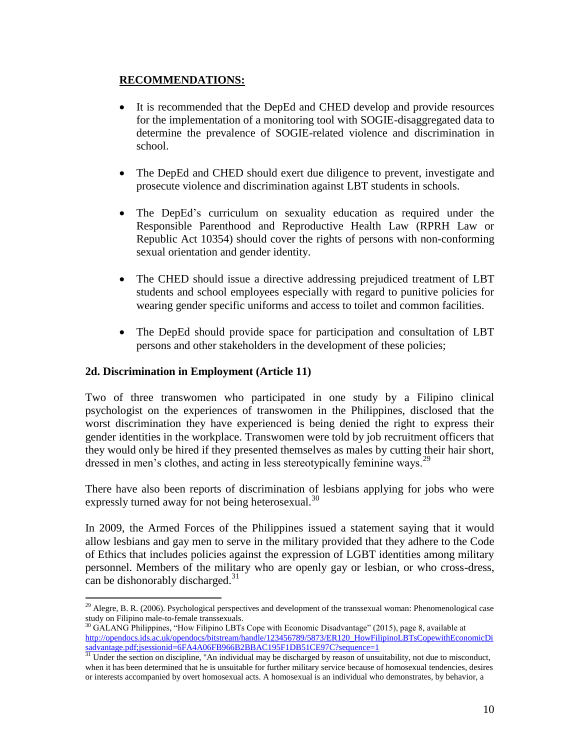# **RECOMMENDATIONS:**

- It is recommended that the DepEd and CHED develop and provide resources for the implementation of a monitoring tool with SOGIE-disaggregated data to determine the prevalence of SOGIE-related violence and discrimination in school.
- The DepEd and CHED should exert due diligence to prevent, investigate and prosecute violence and discrimination against LBT students in schools.
- The DepEd's curriculum on sexuality education as required under the Responsible Parenthood and Reproductive Health Law (RPRH Law or Republic Act 10354) should cover the rights of persons with non-conforming sexual orientation and gender identity.
- The CHED should issue a directive addressing prejudiced treatment of LBT students and school employees especially with regard to punitive policies for wearing gender specific uniforms and access to toilet and common facilities.
- The DepEd should provide space for participation and consultation of LBT persons and other stakeholders in the development of these policies;

# **2d. Discrimination in Employment (Article 11)**

 $\overline{a}$ 

Two of three transwomen who participated in one study by a Filipino clinical psychologist on the experiences of transwomen in the Philippines, disclosed that the worst discrimination they have experienced is being denied the right to express their gender identities in the workplace. Transwomen were told by job recruitment officers that they would only be hired if they presented themselves as males by cutting their hair short, dressed in men's clothes, and acting in less stereotypically feminine ways.<sup>29</sup>

There have also been reports of discrimination of lesbians applying for jobs who were expressly turned away for not being heterosexual.<sup>30</sup>

In 2009, the Armed Forces of the Philippines issued a statement saying that it would allow lesbians and gay men to serve in the military provided that they adhere to the Code of Ethics that includes policies against the expression of LGBT identities among military personnel. Members of the military who are openly gay or lesbian, or who cross-dress, can be dishonorably discharged.<sup>31</sup>

<sup>&</sup>lt;sup>29</sup> Alegre, B. R. (2006). Psychological perspectives and development of the transsexual woman: Phenomenological case study on Filipino male-to-female transsexuals.

 $30$  GALANG Philippines, "How Filipino LBTs Cope with Economic Disadvantage" (2015), page 8, available at [http://opendocs.ids.ac.uk/opendocs/bitstream/handle/123456789/5873/ER120\\_HowFilipinoLBTsCopewithEconomicDi](http://opendocs.ids.ac.uk/opendocs/bitstream/handle/123456789/5873/ER120_HowFilipinoLBTsCopewithEconomicDisadvantage.pdf;jsessionid=6FA4A06FB966B2BBAC195F1DB51CE97C?sequence=1) [sadvantage.pdf;jsessionid=6FA4A06FB966B2BBAC195F1DB51CE97C?sequence=1](http://opendocs.ids.ac.uk/opendocs/bitstream/handle/123456789/5873/ER120_HowFilipinoLBTsCopewithEconomicDisadvantage.pdf;jsessionid=6FA4A06FB966B2BBAC195F1DB51CE97C?sequence=1)<br>31 Under the section on discipline. "An individual

Under the section on discipline, "An individual may be discharged by reason of unsuitability, not due to misconduct, when it has been determined that he is unsuitable for further military service because of homosexual tendencies, desires or interests accompanied by overt homosexual acts. A homosexual is an individual who demonstrates, by behavior, a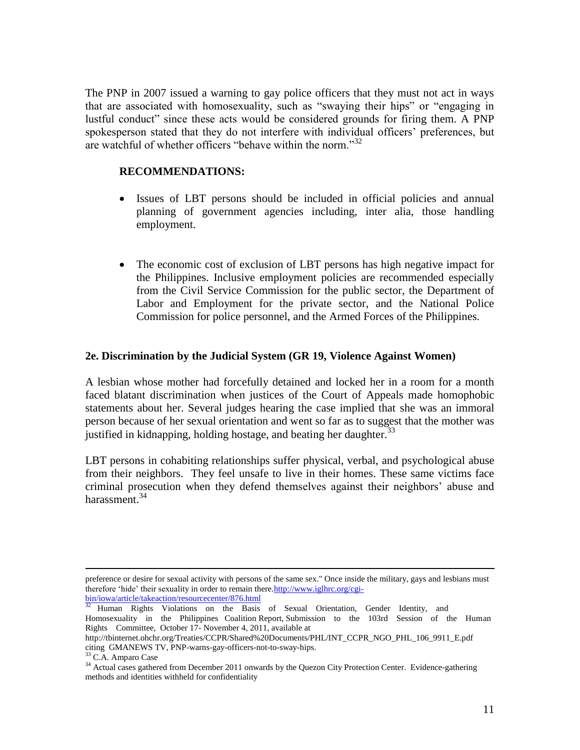The PNP in 2007 issued a warning to gay police officers that they must not act in ways that are associated with homosexuality, such as "swaying their hips" or "engaging in lustful conduct" since these acts would be considered grounds for firing them. A PNP spokesperson stated that they do not interfere with individual officers' preferences, but are watchful of whether officers "behave within the norm."<sup>32</sup>

## **RECOMMENDATIONS:**

- Issues of LBT persons should be included in official policies and annual planning of government agencies including, inter alia, those handling employment.
- The economic cost of exclusion of LBT persons has high negative impact for the Philippines. Inclusive employment policies are recommended especially from the Civil Service Commission for the public sector, the Department of Labor and Employment for the private sector, and the National Police Commission for police personnel, and the Armed Forces of the Philippines.

#### **2e. Discrimination by the Judicial System (GR 19, Violence Against Women)**

A lesbian whose mother had forcefully detained and locked her in a room for a month faced blatant discrimination when justices of the Court of Appeals made homophobic statements about her. Several judges hearing the case implied that she was an immoral person because of her sexual orientation and went so far as to suggest that the mother was justified in kidnapping, holding hostage, and beating her daughter.<sup>33</sup>

LBT persons in cohabiting relationships suffer physical, verbal, and psychological abuse from their neighbors. They feel unsafe to live in their homes. These same victims face criminal prosecution when they defend themselves against their neighbors' abuse and harassment.<sup>34</sup>

preference or desire for sexual activity with persons of the same sex." Once inside the military, gays and lesbians must therefore 'hide' their sexuality in order to remain there[.http://www.iglhrc.org/cgi-](http://www.iglhrc.org/cgi-bin/iowa/article/takeaction/resourcecenter/876.html)

bin/iowa/article/takeaction/resourcecenter/876.html<br><sup>32</sup> Hyman Bights Violations on the Basis

Human Rights Violations on the Basis of Sexual Orientation, Gender Identity, and Homosexuality in the Philippines Coalition Report, Submission to the 103rd Session of the Human Rights Committee, October 17- November 4, 2011, available at

http://tbinternet.ohchr.org/Treaties/CCPR/Shared%20Documents/PHL/INT\_CCPR\_NGO\_PHL\_106\_9911\_E.pdf citing GMANEWS TV, PNP-warns-gay-officers-not-to-sway-hips.

 $3$  C.A. Amparo Case

<sup>&</sup>lt;sup>34</sup> Actual cases gathered from December 2011 onwards by the Quezon City Protection Center. Evidence-gathering methods and identities withheld for confidentiality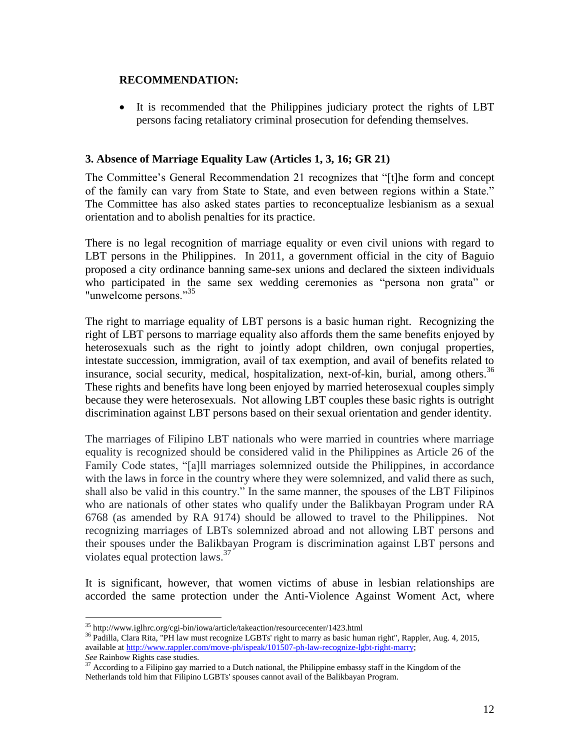## **RECOMMENDATION:**

• It is recommended that the Philippines judiciary protect the rights of LBT persons facing retaliatory criminal prosecution for defending themselves.

## **3. Absence of Marriage Equality Law (Articles 1, 3, 16; GR 21)**

The Committee's General Recommendation 21 recognizes that "[t]he form and concept of the family can vary from State to State, and even between regions within a State." The Committee has also asked states parties to reconceptualize lesbianism as a sexual orientation and to abolish penalties for its practice.

There is no legal recognition of marriage equality or even civil unions with regard to LBT persons in the Philippines. In 2011, a government official in the city of Baguio proposed a city ordinance banning same-sex unions and declared the sixteen individuals who participated in the same sex wedding ceremonies as "persona non grata" or "unwelcome persons."<sup>35</sup>

The right to marriage equality of LBT persons is a basic human right. Recognizing the right of LBT persons to marriage equality also affords them the same benefits enjoyed by heterosexuals such as the right to jointly adopt children, own conjugal properties, intestate succession, immigration, avail of tax exemption, and avail of benefits related to insurance, social security, medical, hospitalization, next-of-kin, burial, among others.<sup>36</sup> These rights and benefits have long been enjoyed by married heterosexual couples simply because they were heterosexuals. Not allowing LBT couples these basic rights is outright discrimination against LBT persons based on their sexual orientation and gender identity.

The marriages of Filipino LBT nationals who were married in countries where marriage equality is recognized should be considered valid in the Philippines as Article 26 of the Family Code states, "[a]ll marriages solemnized outside the Philippines, in accordance with the laws in force in the country where they were solemnized, and valid there as such, shall also be valid in this country." In the same manner, the spouses of the LBT Filipinos who are nationals of other states who qualify under the Balikbayan Program under RA 6768 (as amended by RA 9174) should be allowed to travel to the Philippines. Not recognizing marriages of LBTs solemnized abroad and not allowing LBT persons and their spouses under the Balikbayan Program is discrimination against LBT persons and violates equal protection laws.<sup>37</sup>

It is significant, however, that women victims of abuse in lesbian relationships are accorded the same protection under the Anti-Violence Against Woment Act, where

<sup>35</sup> http://www.iglhrc.org/cgi-bin/iowa/article/takeaction/resourcecenter/1423.html

<sup>&</sup>lt;sup>36</sup> Padilla, Clara Rita, "PH law must recognize LGBTs' right to marry as basic human right", Rappler, Aug. 4, 2015, available a[t http://www.rappler.com/move-ph/ispeak/101507-ph-law-recognize-lgbt-right-marry;](http://www.rappler.com/move-ph/ispeak/101507-ph-law-recognize-lgbt-right-marry) *See* Rainbow Rights case studies.

 $37$  According to a Filipino gay married to a Dutch national, the Philippine embassy staff in the Kingdom of the Netherlands told him that Filipino LGBTs' spouses cannot avail of the Balikbayan Program.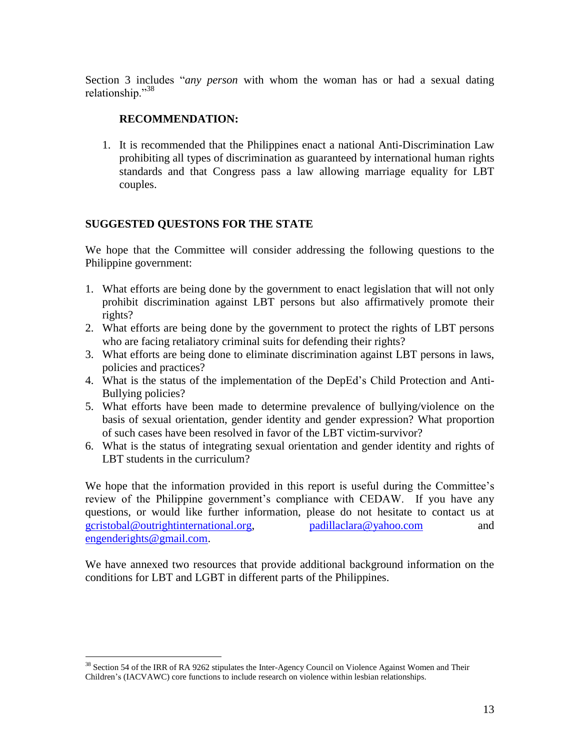Section 3 includes "*any person* with whom the woman has or had a sexual dating relationship."38

## **RECOMMENDATION:**

1. It is recommended that the Philippines enact a national Anti-Discrimination Law prohibiting all types of discrimination as guaranteed by international human rights standards and that Congress pass a law allowing marriage equality for LBT couples.

## **SUGGESTED QUESTONS FOR THE STATE**

We hope that the Committee will consider addressing the following questions to the Philippine government:

- 1. What efforts are being done by the government to enact legislation that will not only prohibit discrimination against LBT persons but also affirmatively promote their rights?
- 2. What efforts are being done by the government to protect the rights of LBT persons who are facing retaliatory criminal suits for defending their rights?
- 3. What efforts are being done to eliminate discrimination against LBT persons in laws, policies and practices?
- 4. What is the status of the implementation of the DepEd's Child Protection and Anti-Bullying policies?
- 5. What efforts have been made to determine prevalence of bullying/violence on the basis of sexual orientation, gender identity and gender expression? What proportion of such cases have been resolved in favor of the LBT victim-survivor?
- 6. What is the status of integrating sexual orientation and gender identity and rights of LBT students in the curriculum?

We hope that the information provided in this report is useful during the Committee's review of the Philippine government's compliance with CEDAW. If you have any questions, or would like further information, please do not hesitate to contact us at [gcristobal@outrightinternational.org,](mailto:gcristobal@outrightinternational.org) [padillaclara@yahoo.com](mailto:padillaclara@yahoo.com) and [engenderights@gmail.com.](mailto:engenderights@gmail.com)

We have annexed two resources that provide additional background information on the conditions for LBT and LGBT in different parts of the Philippines.

 $38$  Section 54 of the IRR of RA 9262 stipulates the Inter-Agency Council on Violence Against Women and Their Children's (IACVAWC) core functions to include research on violence within lesbian relationships.